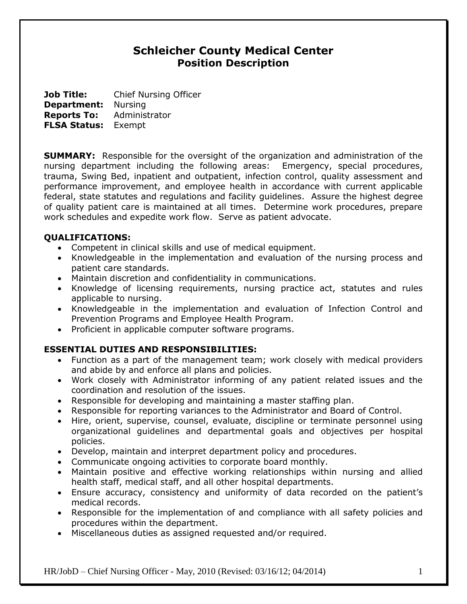# **Schleicher County Medical Center Position Description**

**Job Title:** Chief Nursing Officer **Department:** Nursing **Reports To:** Administrator **FLSA Status:** Exempt

**SUMMARY:** Responsible for the oversight of the organization and administration of the nursing department including the following areas: Emergency, special procedures, trauma, Swing Bed, inpatient and outpatient, infection control, quality assessment and performance improvement, and employee health in accordance with current applicable federal, state statutes and regulations and facility guidelines. Assure the highest degree of quality patient care is maintained at all times. Determine work procedures, prepare work schedules and expedite work flow. Serve as patient advocate.

#### **QUALIFICATIONS:**

- Competent in clinical skills and use of medical equipment.
- Knowledgeable in the implementation and evaluation of the nursing process and patient care standards.
- Maintain discretion and confidentiality in communications.
- Knowledge of licensing requirements, nursing practice act, statutes and rules applicable to nursing.
- Knowledgeable in the implementation and evaluation of Infection Control and Prevention Programs and Employee Health Program.
- Proficient in applicable computer software programs.

# **ESSENTIAL DUTIES AND RESPONSIBILITIES:**

- Function as a part of the management team; work closely with medical providers and abide by and enforce all plans and policies.
- Work closely with Administrator informing of any patient related issues and the coordination and resolution of the issues.
- Responsible for developing and maintaining a master staffing plan.
- Responsible for reporting variances to the Administrator and Board of Control.
- Hire, orient, supervise, counsel, evaluate, discipline or terminate personnel using organizational guidelines and departmental goals and objectives per hospital policies.
- Develop, maintain and interpret department policy and procedures.
- Communicate ongoing activities to corporate board monthly.
- Maintain positive and effective working relationships within nursing and allied health staff, medical staff, and all other hospital departments.
- Ensure accuracy, consistency and uniformity of data recorded on the patient's medical records.
- Responsible for the implementation of and compliance with all safety policies and procedures within the department.
- Miscellaneous duties as assigned requested and/or required.